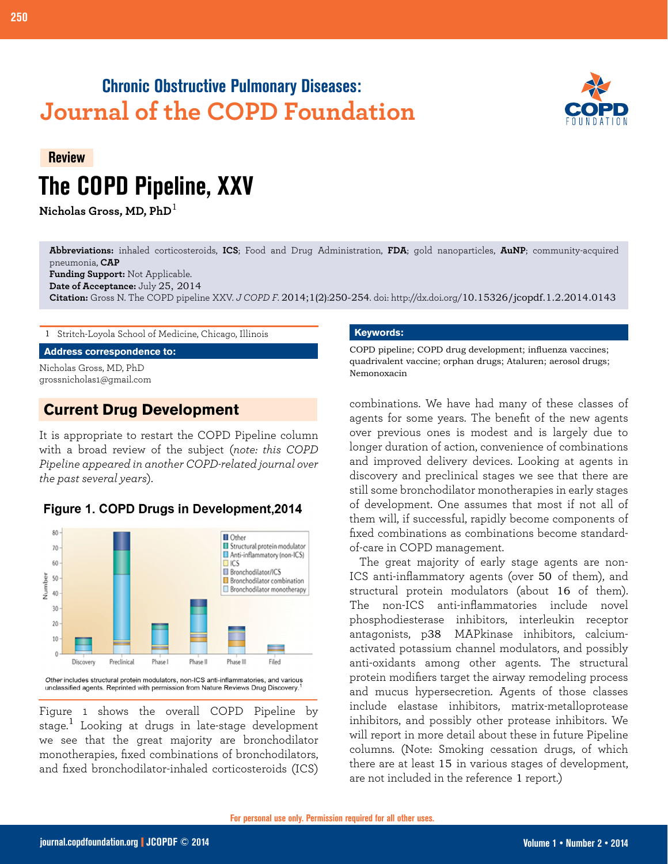# **Chronic Obstructive Pulmonary Diseases: Journal of the COPD Foundation**



# **Review The COPD Pipeline, XXV**

**Nicholas Gross, MD, PhD**<sup>1</sup>

**Abbreviations:** inhaled corticosteroids, **ICS**; Food and Drug Administration, **FDA**; gold nanoparticles, **AuNP**; community-acquired pneumonia, **CAP**

**Funding Support:** Not Applicable. **Date of Acceptance:** July 25, 2014

**Citation:** Gross N. The COPD pipeline XXV. *J COPD F*. 2014;1(2):250-254. doi: http://dx.doi.org/[10.15326/jcopdf.1.2.2014.0143](http://dx.doi.org/10.15326/jcopdf.2.1.2014.0143)

1 Stritch-Loyola School of Medicine, Chicago, Illinois

**Address correspondence to:**

Nicholas Gross, MD, PhD grossnicholas1@gmail.com

## **Current Drug Development**

It is appropriate to restart the COPD Pipeline column with a broad review of the subject (*note: this COPD Pipeline appeared in another COPD-related journal over the past several years*).



#### Figure 1. COPD Drugs in Development, 2014

Other includes structural protein modulators, non-ICS anti-inflammatories, and various unclassified agents. Reprinted with permission from Nature Reviews Drug Discovery

Figure 1 shows the overall COPD Pipeline by stage.<sup>1</sup> Looking at drugs in late-stage development we see that the great majority are bronchodilator monotherapies, fixed combinations of bronchodilators, and fixed bronchodilator-inhaled corticosteroids (ICS)

#### **Keywords:**

COPD pipeline; COPD drug development; influenza vaccines; quadrivalent vaccine; orphan drugs; Ataluren; aerosol drugs; Nemonoxacin

combinations. We have had many of these classes of agents for some years. The benefit of the new agents over previous ones is modest and is largely due to longer duration of action, convenience of combinations and improved delivery devices. Looking at agents in discovery and preclinical stages we see that there are still some bronchodilator monotherapies in early stages of development. One assumes that most if not all of them will, if successful, rapidly become components of fixed combinations as combinations become standardof-care in COPD management.

The great majority of early stage agents are non-ICS anti-inflammatory agents (over 50 of them), and structural protein modulators (about 16 of them). The non-ICS anti-inflammatories include novel phosphodiesterase inhibitors, interleukin receptor antagonists, p38 MAPkinase inhibitors, calciumactivated potassium channel modulators, and possibly anti-oxidants among other agents. The structural protein modifiers target the airway remodeling process and mucus hypersecretion. Agents of those classes include elastase inhibitors, matrix-metalloprotease inhibitors, and possibly other protease inhibitors. We will report in more detail about these in future Pipeline columns. (Note: Smoking cessation drugs, of which there are at least 15 in various stages of development, are not included in the reference 1 report.)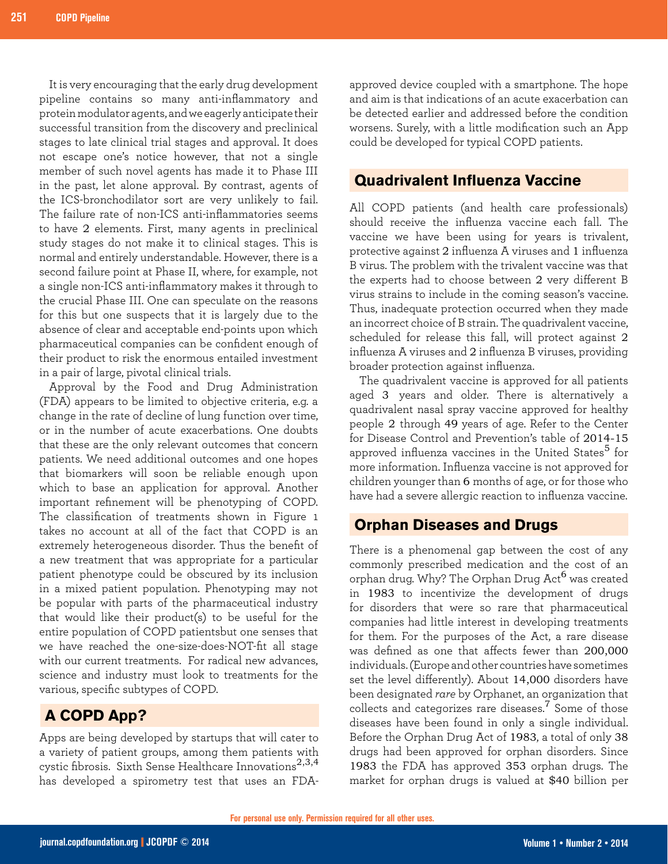It is very encouraging that the early drug development pipeline contains so many anti-inflammatory and protein modulator agents, and we eagerly anticipate their successful transition from the discovery and preclinical stages to late clinical trial stages and approval. It does not escape one's notice however, that not a single member of such novel agents has made it to Phase III in the past, let alone approval. By contrast, agents of the ICS-bronchodilator sort are very unlikely to fail. The failure rate of non-ICS anti-inflammatories seems to have 2 elements. First, many agents in preclinical study stages do not make it to clinical stages. This is normal and entirely understandable. However, there is a second failure point at Phase II, where, for example, not a single non-ICS anti-inflammatory makes it through to the crucial Phase III. One can speculate on the reasons for this but one suspects that it is largely due to the absence of clear and acceptable end-points upon which pharmaceutical companies can be confident enough of their product to risk the enormous entailed investment in a pair of large, pivotal clinical trials.

Approval by the Food and Drug Administration (FDA) appears to be limited to objective criteria, e.g. a change in the rate of decline of lung function over time, or in the number of acute exacerbations. One doubts that these are the only relevant outcomes that concern patients. We need additional outcomes and one hopes that biomarkers will soon be reliable enough upon which to base an application for approval. Another important refinement will be phenotyping of COPD. The classification of treatments shown in Figure 1 takes no account at all of the fact that COPD is an extremely heterogeneous disorder. Thus the benefit of a new treatment that was appropriate for a particular patient phenotype could be obscured by its inclusion in a mixed patient population. Phenotyping may not be popular with parts of the pharmaceutical industry that would like their product(s) to be useful for the entire population of COPD patientsbut one senses that we have reached the one-size-does-NOT-fit all stage with our current treatments. For radical new advances, science and industry must look to treatments for the various, specific subtypes of COPD.

## **A COPD App?**

Apps are being developed by startups that will cater to a variety of patient groups, among them patients with cystic fibrosis. Sixth Sense Healthcare Innovations<sup>2,3,4</sup> has developed a spirometry test that uses an FDA- approved device coupled with a smartphone. The hope and aim is that indications of an acute exacerbation can be detected earlier and addressed before the condition worsens. Surely, with a little modification such an App could be developed for typical COPD patients.

#### **Quadrivalent Influenza Vaccine**

All COPD patients (and health care professionals) should receive the influenza vaccine each fall. The vaccine we have been using for years is trivalent, protective against 2 influenza A viruses and 1 influenza B virus. The problem with the trivalent vaccine was that the experts had to choose between 2 very different B virus strains to include in the coming season's vaccine. Thus, inadequate protection occurred when they made an incorrect choice of B strain. The quadrivalent vaccine, scheduled for release this fall, will protect against 2 influenza A viruses and 2 influenza B viruses, providing broader protection against influenza.

The quadrivalent vaccine is approved for all patients aged 3 years and older. There is alternatively a quadrivalent nasal spray vaccine approved for healthy people 2 through 49 years of age. Refer to the Center for Disease Control and Prevention's table of 2014-15 approved influenza vaccines in the United States<sup>5</sup> for more information. Influenza vaccine is not approved for children younger than 6 months of age, or for those who have had a severe allergic reaction to influenza vaccine.

#### **Orphan Diseases and Drugs**

There is a phenomenal gap between the cost of any commonly prescribed medication and the cost of an orphan drug. Why? The Orphan Drug Act<sup>6</sup> was created in 1983 to incentivize the development of drugs for disorders that were so rare that pharmaceutical companies had little interest in developing treatments for them. For the purposes of the Act, a rare disease was defined as one that affects fewer than 200,000 individuals. (Europe and other countries have sometimes set the level differently). About 14,000 disorders have been designated *rare* by Orphanet, an organization that collects and categorizes rare diseases.<sup>7</sup> Some of those diseases have been found in only a single individual. Before the Orphan Drug Act of 1983, a total of only 38 drugs had been approved for orphan disorders. Since 1983 the FDA has approved 353 orphan drugs. The market for orphan drugs is valued at \$40 billion per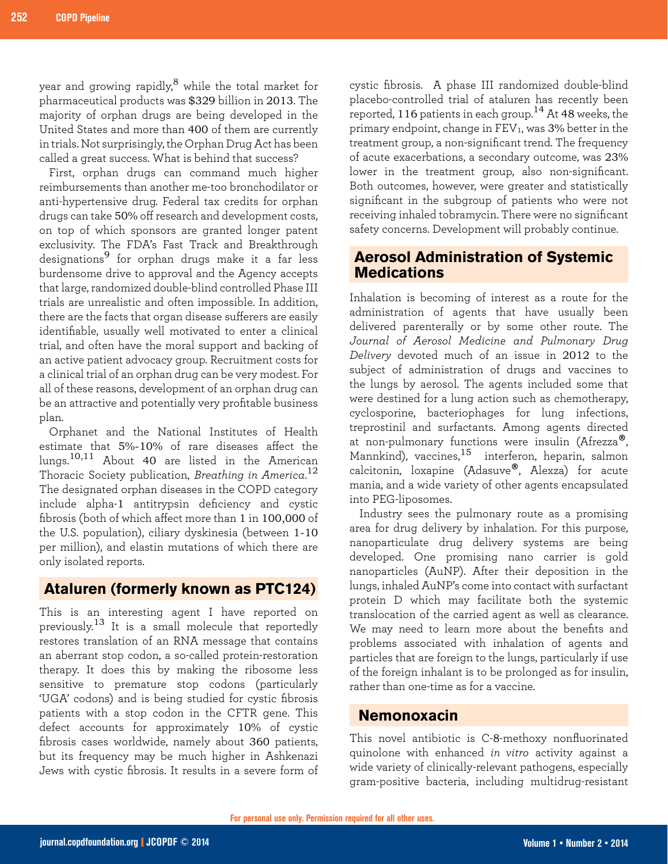year and growing rapidly,<sup>8</sup> while the total market for pharmaceutical products was \$329 billion in 2013. The majority of orphan drugs are being developed in the United States and more than 400 of them are currently in trials. Not surprisingly, the Orphan Drug Act has been called a great success. What is behind that success?

First, orphan drugs can command much higher reimbursements than another me-too bronchodilator or anti-hypertensive drug. Federal tax credits for orphan drugs can take 50% off research and development costs, on top of which sponsors are granted longer patent exclusivity. The FDA's Fast Track and Breakthrough designations9 for orphan drugs make it a far less burdensome drive to approval and the Agency accepts that large, randomized double-blind controlled Phase III trials are unrealistic and often impossible. In addition, there are the facts that organ disease sufferers are easily identifiable, usually well motivated to enter a clinical trial, and often have the moral support and backing of an active patient advocacy group. Recruitment costs for a clinical trial of an orphan drug can be very modest. For all of these reasons, development of an orphan drug can be an attractive and potentially very profitable business plan.

Orphanet and the National Institutes of Health estimate that 5%-10% of rare diseases affect the lungs.10,11 About 40 are listed in the American Thoracic Society publication, *Breathing in America*. 12 The designated orphan diseases in the COPD category include alpha-1 antitrypsin deficiency and cystic fibrosis (both of which affect more than 1 in 100,000 of the U.S. population), ciliary dyskinesia (between 1-10 per million), and elastin mutations of which there are only isolated reports.

#### **Ataluren (formerly known as PTC124)**

This is an interesting agent I have reported on previously.13 It is a small molecule that reportedly restores translation of an RNA message that contains an aberrant stop codon, a so-called protein-restoration therapy. It does this by making the ribosome less sensitive to premature stop codons (particularly 'UGA' codons) and is being studied for cystic fibrosis patients with a stop codon in the CFTR gene. This defect accounts for approximately 10% of cystic fibrosis cases worldwide, namely about 360 patients, but its frequency may be much higher in Ashkenazi Jews with cystic fibrosis. It results in a severe form of

cystic fibrosis. A phase III randomized double-blind placebo-controlled trial of ataluren has recently been reported, 116 patients in each group.14 At 48 weeks, the primary endpoint, change in FEV1, was 3% better in the treatment group, a non-significant trend. The frequency of acute exacerbations, a secondary outcome, was 23% lower in the treatment group, also non-significant. Both outcomes, however, were greater and statistically significant in the subgroup of patients who were not receiving inhaled tobramycin. There were no significant safety concerns. Development will probably continue.

### **Aerosol Administration of Systemic Medications**

Inhalation is becoming of interest as a route for the administration of agents that have usually been delivered parenterally or by some other route. The *Journal of Aerosol Medicine and Pulmonary Drug Delivery* devoted much of an issue in 2012 to the subject of administration of drugs and vaccines to the lungs by aerosol. The agents included some that were destined for a lung action such as chemotherapy, cyclosporine, bacteriophages for lung infections, treprostinil and surfactants. Among agents directed at non-pulmonary functions were insulin (Afrezza®, Mannkind), vaccines,<sup>15</sup> interferon, heparin, salmon calcitonin, loxapine (Adasuve®, Alexza) for acute mania, and a wide variety of other agents encapsulated into PEG-liposomes.

Industry sees the pulmonary route as a promising area for drug delivery by inhalation. For this purpose, nanoparticulate drug delivery systems are being developed. One promising nano carrier is gold nanoparticles (AuNP). After their deposition in the lungs, inhaled AuNP's come into contact with surfactant protein D which may facilitate both the systemic translocation of the carried agent as well as clearance. We may need to learn more about the benefits and problems associated with inhalation of agents and particles that are foreign to the lungs, particularly if use of the foreign inhalant is to be prolonged as for insulin, rather than one-time as for a vaccine.

### **Nemonoxacin**

This novel antibiotic is C-8-methoxy nonfluorinated quinolone with enhanced *in vitro* activity against a wide variety of clinically-relevant pathogens, especially gram-positive bacteria, including multidrug-resistant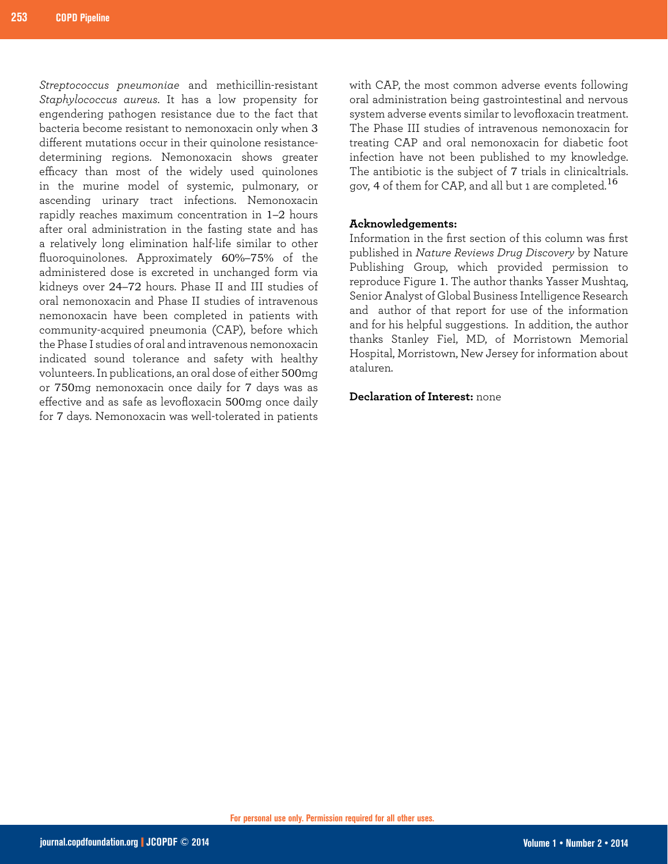*Streptococcus pneumoniae* and methicillin-resistant *Staphylococcus aureus*. It has a low propensity for engendering pathogen resistance due to the fact that bacteria become resistant to nemonoxacin only when 3 different mutations occur in their quinolone resistancedetermining regions. Nemonoxacin shows greater efficacy than most of the widely used quinolones in the murine model of systemic, pulmonary, or ascending urinary tract infections. Nemonoxacin rapidly reaches maximum concentration in 1–2 hours after oral administration in the fasting state and has a relatively long elimination half-life similar to other fluoroquinolones. Approximately 60%–75% of the administered dose is excreted in unchanged form via kidneys over 24–72 hours. Phase II and III studies of oral nemonoxacin and Phase II studies of intravenous nemonoxacin have been completed in patients with community-acquired pneumonia (CAP), before which the Phase I studies of oral and intravenous nemonoxacin indicated sound tolerance and safety with healthy volunteers. In publications, an oral dose of either 500mg or 750mg nemonoxacin once daily for 7 days was as effective and as safe as levofloxacin 500mg once daily for 7 days. Nemonoxacin was well-tolerated in patients

with CAP, the most common adverse events following oral administration being gastrointestinal and nervous system adverse events similar to levofloxacin treatment. The Phase III studies of intravenous nemonoxacin for treating CAP and oral nemonoxacin for diabetic foot infection have not been published to my knowledge. The antibiotic is the subject of 7 trials in clinicaltrials. gov, 4 of them for CAP, and all but 1 are completed.<sup>16</sup>

#### **Acknowledgements:**

Information in the first section of this column was first published in *Nature Reviews Drug Discovery* by Nature Publishing Group, which provided permission to reproduce Figure 1. The author thanks Yasser Mushtaq, Senior Analyst of Global Business Intelligence Research and author of that report for use of the information and for his helpful suggestions. In addition, the author thanks Stanley Fiel, MD, of Morristown Memorial Hospital, Morristown, New Jersey for information about ataluren.

#### **Declaration of Interest:** none